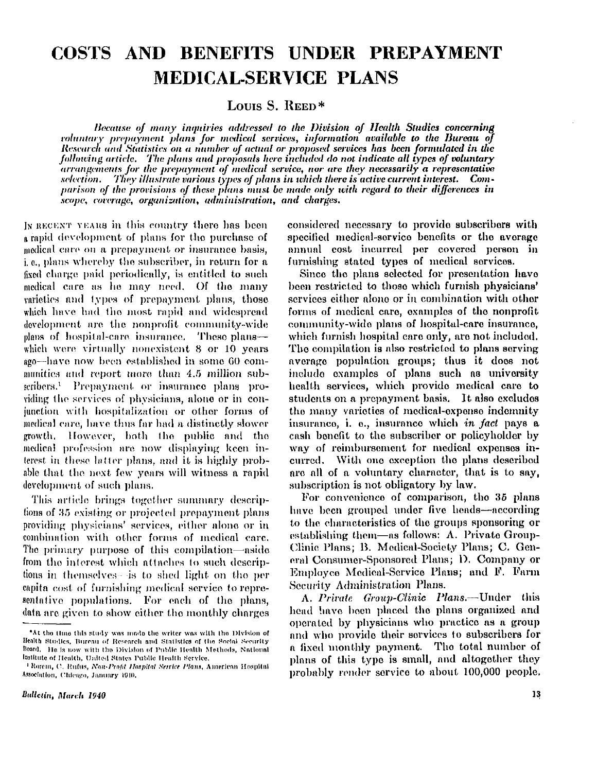# **COSTS AND BENEFITS UNDER PREPAYMENT MEDICAL-SERVICE PLANS**

**Louis S. REED \*** 

*Because of many inquiries addressed to the Division of Health Studies concerning voluntary prepayment plans for medical services, information available to the Bureau of Research and Statistics on a number of actual or proposed services has been formulated in the following article. The plans and proposals here included do not indicate all types of voluntary arrangements for the prepayment of medical service, nor are they necessarily a representative selection. They illustrate various types of plans in which there is active current interest. Comparison of the provisions of these plans must be made only with regard to their differences in scope, coverage, organization, administration, and charges.* 

IN RECENT YEARS in this country there has been a rapid development of plans for the purchase of medical care on a prepayment or insurance basis, i.  $e_i$ , plans whereby the subscriber, in return for a fixed charge paid periodically, is entitled to such medical care as he may need. Of the many varieties and types of prepayment plans, those which have had the most rapid and widespread development are the nonprofit community-wide plans of hospital-care insurance. These plans which were virtually nonexistent 8 or 10 years ago—have now been established in some 60 communities and report more than 4.5 million subscribers.<sup>1</sup> Prepayment or insurance plans providing the services of physicians, alone or in conjunction with hospitalization or other forms of medical care, have thus far had a distinctly slower growth. However, both the public and the medical profession are now displaying keen interest in these latter plans, and it is highly probable that the next few years will witness a rapid development of such plans.

This article brings together summary descriptions of 35 existing or projected prepayment plans providing physicians' services, either alone or in combination with other forms of medical care. The primary purpose of this compilation—aside from the interest which attaches to such descriptions in themselves—is to shed light on the per capita cost of furnishing medical service to repre sentative populations. For each of the plans, data are given to show either the monthly charges

considered necessary to provide subscribers with specified medical-service benefits or the average annual cost incurred per covered person in furnishing stated types of medical services.

Since the plans selected for presentation have been restricted to those which furnish physicians' services either alone or in combination with other forms of medical care, examples of the nonprofit community-wide plans of hospital-care insurance, which furnish hospital care only, are not included. The compilation is also restricted to plans serving average population groups; thus it does not include examples of plans such as university health services, which provide medical care to students on a prepayment basis. It also excludes the many varieties of medical-expense indemnity insurance, i. e., insurance which in fact pays a cash benefit to the subscriber or policyholder by way of reimbursement for medical expenses incurred. With one exception the plans described are all of a voluntary character, that is to say, subscription is not obligatory by law.

For convenience of comparison, the 35 plans have been grouped under five heads—according to the characteristics of the groups sponsoring or establishing them—as follows:  $A$ . Private Group-Clinic Plans; B. Medical-Society Plans; C. General Consumer-Sponsored Plans; D. Company or Employee Medical-Service Plans; and F. Farm Security Administration Plans.

A. Private Group-Clinic Plans.—Under this head have been placed the plans organized and operated by physicians who practice as a group and who provide their services to subscribers for a fixed monthly payment. The total number of plans of this type is small, and altogether they probably render service to about 100,000 people.

<sup>\*</sup>At the time this study was made the writer was with the Division of Health Studies, Bureau of Research and Statistics of the Social Security Board. He is now with the Division of Public Health Methods, National Institute of Health, United States Public Health Service.

<sup>1</sup> Rorem , *C. R* ufus , *Non-Profit Hospital Service Plans,* America n Hospita l Association, Chicago, January 1940.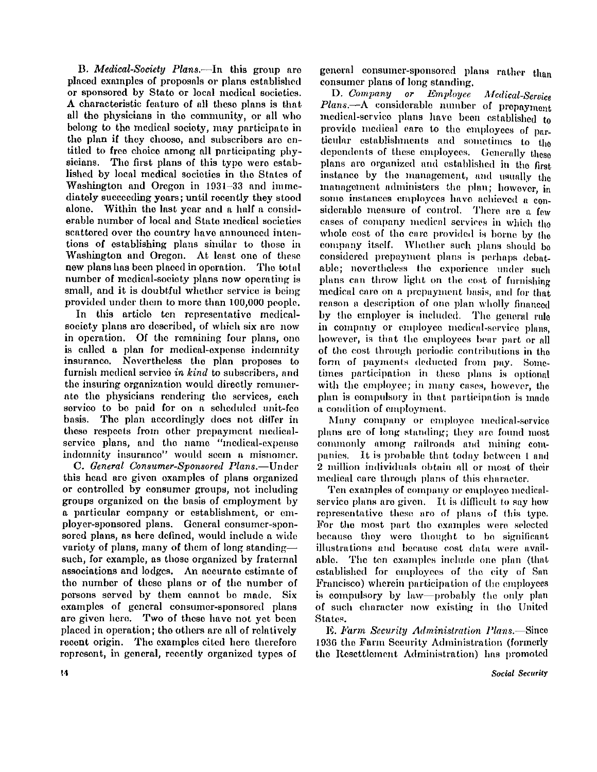B . *Medical-Society Plans.*—In this group are placed examples of proposals or plans established or sponsored by State or local medical societies. A characteristic feature of all these plans is tha t all the physicians in the community, or all who belong to the medical society, may participate in the plan if they choose, and subscribers are entitled to free choice among all participating phy sicians. The first plans of this type were established by local medical societies in the States of Washington and Oregon in 1931-33 and immediately succeeding years; until recently they stood alone. Within the last year and a half a considerable number of local and State medical societies scattered over the country have announced intentions of establishing plans similar to those in Washington and Oregon. At least one of these new plans has been placed in operation. The total number of medical-society plans now operating is small, and it is doubtful whether service is being provided under them to more than 100,000 people.

In this article ten representative medicalsociety plans are described, of which six are now in operation. Of the remaining four plans, one is called a plan for medical-expense indemnity insurance. Nevertheless the plan proposes to furnish medical service *in kind* to subscribers, and the insuring organization would directly remunerate the physicians rendering the services, each service to be paid for on a scheduled unit-fee basis. The plan accordingly does not differ in these respects from other prepayment medicalservice plans, and the name "medical-expense indemnity insurance" would seem a misnomer.

C. *General Consumer-Sponsored Plans.*—Under this head are given examples of plans organized or controlled by consumer groups, not including groups organized on the basis of employment by a particular company or establishment, or employer-sponsored plans. General consumer-sponsored plans, as here defined, would include a wide variety of plans, many of them of long standing such, for example, as those organized by fraternal associations and lodges. An accurate estimate of the number of these plans or of the number of persons served by them cannot be made. Six examples of general consumer-sponsored plans are given here. Two of these have not yet been placed in operation; the others are all of relatively recent origin. The examples cited here therefore represent, in general, recently organized types of

general consumer-sponsored plans rather than consumer plans of long standing.

D . *Company or Employee Medical-Service Plans.*—A considerable number of prepayment medical-service plans have been established to provide medical care to the employees of particular establishments and sometimes to the dependents of these employees. Generally these plans are organized and established in the first instance by the management, and usually the management administers the plan; however, in some instances employees have achieved a considerable measure of control. There are a few cases of company medical services in which the whole cost of the care provided is borne by the company itself. Whether such plans should be considered prepayment plans is perhaps debatable; nevertheless the experience under such plans can throw light on the cost of furnishing medical care on a prepayment basis, and for that reason a description of one plan wholly financed by the employer is included. The general rule in company or employee medical-service plans, however, is that the employees bear part or all of the cost through periodic contributions in the form of payments deducted from pay. Sometimes participation in these plans is optional with the employee; in many cases, however, the plan is compulsory in that participation is made a condition of employment.

Many company or employee medical-service plans are of long standing; they are found most commonly among railroads and mining companies. It is probable that today between 1 and 2 million individuals obtain all or most of their medical care through plans of this character.

Ten examples of company or employee medicalservice plans are given. It is difficult to say how representative these are of plans of this type. For the most part the examples were selected because they were thought to be significant illustrations and because cost data were available. The ten examples include one plan (that established for employees of the city of San Francisco) wherein participation of the employees is compulsory by law—probably the only plan of such character now existing in the United States.

E. *Farm Security Administration Plans.*—Since 1936 the Farm Security Administration (formerly the Resettlement Administration) has promoted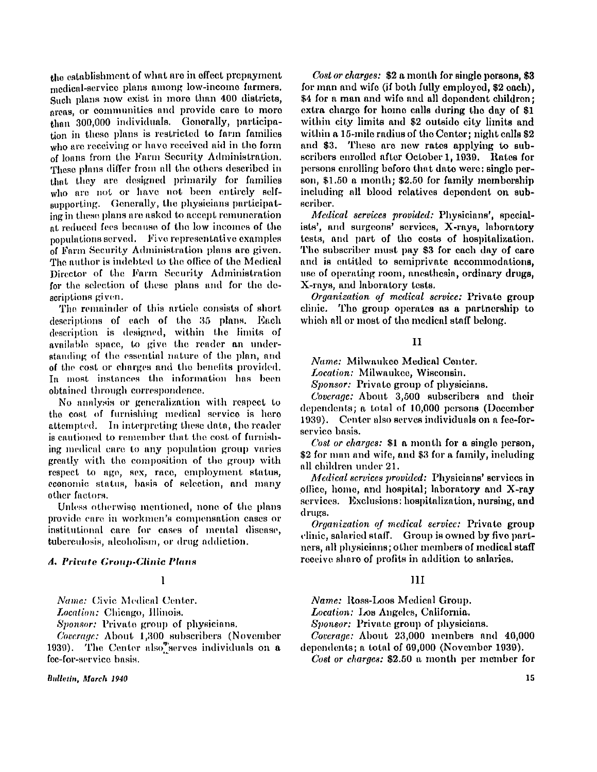the establishment of what are in effect prepayment medical-service plans among low-income farmers. Such plans now exist in more than 400 districts, areas, or communities and provide care to more than 300,000 individuals. Generally, participation in these plans is restricted to farm families who are receiving or have received aid in the form of loans from the Farm Security Administration. These plans differ from all the others described in that they are designed primarily for families who are not or have not been entirely selfsupporting. Generally, the physicians participating in these plans are asked to accept remuneration at reduced fees because of the low incomes of the populations served. Five representative examples of Farm Security Administration plans are given. The author is indebted to the office of the Medical Director of the Farm Security Administration for the selection of these plans and for the descriptions given.

The remainder of this article consists of short descriptions of each of the 35 plans. Each description is designed, within the limits of available space, to give the reader an understanding of the essential nature of the plan, and of the cost or charges and the benefits provided. In most instances the information has been obtained through correspondence.

No analysis or generalization with respect to the cost of furnishing medical service is here attempted. In interpreting these data, the reader is cautioned to remember that the cost of furnishing medical care to any population group varies greatly with the composition of the group with respect to age, sex, race, employment status, economic status, basis of selection, and many other factors.

Unless otherwise mentioned, none of the plans provide care in workmen's compensation cases or institutional care for cases of mental disease, tuberculosis, alcoholism, or drug addiction.

#### *A. Private Group-Clinic Plans*

# I

*Name:* Civic Medical Center.

*Location:* Chicago, Illinois.

*Sponsor:* Private group of physicians.

*Coverage:* About 1,300 subscribers (November 1939). The Center also serves individuals on  $a$ fee-for-service basis.

Bulletin, March 1940

*Cost or charges:* \$2 a month for single persons, \$3 for man and wife (if both fully employed, \$2 each), \$4 for a man and wife and all dependent children; extra charge for home calls during the day of \$1 within city limits and \$2 outside city limits and within a 15-mile radius of the Center; night calls \$2 and \$3. These are now rates applying to subscribers enrolled after October 1, 1939. Rates for persons enrolling before that date were: single person, \$1.50 a month ; \$2.50 for family membership including all blood relatives dependent on subscriber.

*Medical services provided:* Physicians', specialists', and surgeons' services, X-rays, laboratory tests, and part of the costs of hospitalization. The subscriber must pay \$3 for each day of care and is entitled to semiprivate accommodations, use of operating room, anesthesia, ordinary drugs, X-rays, and laboratory tests.

*Organization of medical service:* Private group clinic. The group operates as a partnership to which all or most of the medical staff belong.

#### I I

*Name:* Milwaukee Medical Center.

Location: Milwaukee, Wisconsin.

*Sponsor:* Private group of physicians.

*Coverage:* About 3,500 subscribers and their dependents; a total of 10,000 persons (December 1939). Center also serves individuals on a fee-forservice basis.

*Cost or charges:* \$1 a month for a single person, \$2 for man and wife, and \$3 for a family , including all children under 21 .

*Medical scrvices provided:* Physicians' services in office, home, and hospital; laboratory and  $X$ -ray services. Exclusions: hospitalization, nursing, and drugs.

*Organization of medical service:* Private group clinic, salaried staff. Group is owned by five partners, all physicians; other members of medical staff receive share of profits in addition to salaries.

## $\mathbf{H}$

*Name:* Ross-Loos Medical Group.

*Location:* Los Angeles, California.

*Sponsor:* Private group of physicians.

*Coverage:* About 23,000 members and 40,000 dependents; a total of 69,000 (November 1939).

*Cost or charges:* \$2.50 a month per member for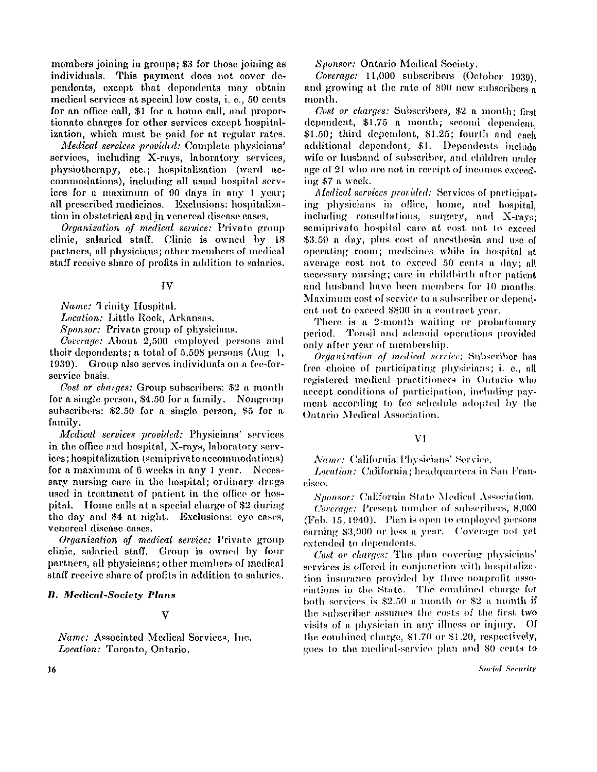members joining in groups; \$3 for those joining as individuals. This payment does not cover dependents, except that dependents may obtain medical services at special low costs, i . e., 50 cents for an office call, \$1 for a home call, and proportionate charges for other services except hospitalization, which must be paid for at regular rates.

*Medical services provided:* Complete physicians' services, including X-rays, laboratory services, physiotherapy, etc.; hospitalization (ward accommodations), including all usual hospital services for a maximum of 90 days in any 1 year; all prescribed medicines. Exclusions: hospitalization in obstetrical and in venereal disease cases.

*Organization of medical service:* Private group clinic, salaried staff. Clinic is owned by 18 partners, all physicians; other members of medical staff receive share of profits in addition to salaries.

## I V

*Name:* Trinity Hospital.

*Location:* Little Rock, Arkansas.

*Sponsor:* Private group of physicians.

*Coverage:* About 2,500 employed persons and their dependents; a total of  $5,508$  persons (Aug. 1, 1939). Group also serves individuals on a fee-forservice basis.

*Cost or charges:* Group subscribers: \$2 a month for a single person, \$4.50 for a family. Nongroup subscribers: \$2.50 for a single person, \$5 for a family.

*Medical services provided:* Physicians' services in the office and hospital, X-rays, laboratory services; hospitalization (semiprivate accommodations) for a maximum of 6 weeks in any 1 year. Necessary nursing care in the hospital; ordinary drugs used in treatment of patient in the office or hospital. Home calls at a special charge of \$2 during the day and \$4 at night. Exclusions: eye cases, venereal disease cases.

*Organization of medical service:* Private group clinic, salaried staff. Group is owned by four partners, all physicians; other members of medical staff receive share of profits in addition to salaries.

#### *It. Medical-Society Plans*

## V

*Name:* Associated Medical Services, Inc. *Location:* Toronto, Ontario.

*Sponsor:* Ontario Medical Society.

*Coverage:* 11,000 subscribers (October 1939) and growing at the rate of 800 new subscribers a month.

*Cost or charges:* Subscribers, \$2 a month ; first dependent, \$1.75 a month; second dependent, \$1.50; third dependent, \$1.25; fourth and each additional dependent, \$1. Dependents include wife or husband of subscriber, and children under age of 21 who are not in receipt of incomes exceeding \$7 a week.

*Medical services provided:* Services of participating physicians in office, home, and hospital, including consultations, surgery, and X-rays; semiprivate hospital care at cost not to exceed \$3.50 a day, plus cost of anesthesia and use of operating room; medicines while in hospital at average cost not to exceed 50 cents a day; all necessary nursing; care in childbirth after patient and husband have been members for 10 months. Maximum cost of service to a subscriber or dependent not to exceed \$800 in a contract year.

There is a 2-month waiting or probationary period. Tonsil and adenoid operations provided only after year of membership.

*Organization of medical service:* Subscriber has free choice of participating physicians; i . e., all registered medical practitioners in Ontario who accept conditions of participation, including payment according to fee schedule adopted by the Ontario Medical Association.

## V I

*Name:* California Physicians' Service.

*Location:* California; headquarters in San Francisco.

*Sponsor:* California State Medical Association.

*Coverage:* Present number of subscribers, 8,000 (Feb. 15, 1940). Plan is open to employed persons earning \$3,000 or less a year. Coverage not yet extended to dependents.

*Cost or charges:* The plan covering physicians' services is offered in conjunction with hospitalization insurance provided by three nonprofit associations in the State. The combined charge for both services is \$2.50 a month or \$2 a month if the subscriber assumes the costs of the first two visits of a physician in any illness or injury . Of the combined charge, \$1.70 or \$1.20, respectively, goes to the medical-service plan and 80 cents to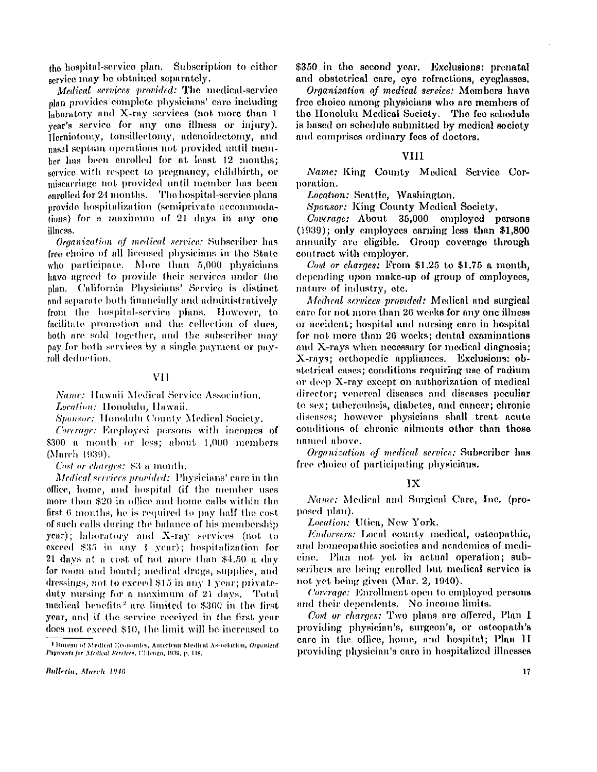the hospital-service plan. Subscription to either service may be obtained separately.

*Medical services provided:* The medical-service plan provides complete physicians' care including laboratory and X-ray scrvices (not more than 1 year's service for any one illness or injury). Herniotomy, tonsillectomy, adenoidectomy, and nasal septum operations not provided until member has been enrolled for at least **12** months ; service with respect to pregnancy, childbirth, or miscarriage not provided until member has been enrolled for **24** months. The hospital-service plans provide hospitalization (semiprivate accommodations) for a maximum of **21** days in any one illness.

*Organization of medical service:* Subscriber has free choice of all licensed physicians in the State who participate. More than 5,000 physicians have agreed to provide their services under the plan. California Physicians' Service is distinct and separate both financially and administratively from the hospital-service plans. However, to facilitate promotion and the collection of dues, both are sold together, and the subscriber may pay for both services by a single payment or payroll deduction.

## V I <sup>I</sup>

*Name:* Hawaii Medical Service Association. *Location:* Honolulu, Hawaii.

*Sponsor:* Honolulu County Medical Society.

*Coverage: Employed* persons with incomes of **\$300** a month or less; about **1,000** members (March 1939*).* 

*Cost or charges:* **\$3** a month.

*Medical services provided:* Physicians' **care** in the **office,** home, and hospital (if the member uses **more** than **\$20** in **office** and home calls within the first 6 months, he is required to pay half the cost of such calls during the balance of his membership year); laboratory and X-ray services (not to exceed **\$35** in any **I** year); hospitalization for **21** days at **a** cost of not **more** than **\$4.50** a day for room and board; medical drugs, supplies, and dressings, not to exceed **\$15** in any **1** year; private duty nursing for a maximum of 21 days. Total medical benefits <sup>2</sup>  **are** limited to **\$300** in the first year, and if the service received in the first year does not exceed \$10, the limit will be increased to

**Bulletin, March 1940** 

\$350 in the second year. Exclusions: prenatal and obstetrical care, eye refractions, eyeglasses.

*Organization of medical service:* Members have free choice among physicians who are members of the Honolulu Medical Society. The fee schedule is based on schedule submitted by medical society and comprises ordinary fees of doctors.

## **VIII**

*Name:* King County Medical Service Corporation.

*Location:* Seattle, Washington.

*Sponsor:* King County Medical Society.

*Coverage:* About 35,000 employed persons (1939); only employees earning less than \$1,800 annually are eligible. Group coverage through contract with employer.

*Cost or charges:* From  $$1.25$  to  $$1.75$  a month, depending upon make-up of group of employees, nature of industry, etc.

*Medical services provided:* Medical and surgical care for not more than 20 weeks for any one illness or accident; hospital and nursing care in hospital for not more than 20 weeks; dental examinations and X-rays when necessary for medical diagnosis; X-rays; orthopedic appliances. Exclusions: obstetrical cases; conditions requiring use of radium or deep X-ray except on authorization of medical director; venereal diseases and diseases peculiar to sex; tuberculosis, diabetes, and cancer; chronic diseases; however physicians shall treat acute conditions of chronic ailments other than those named above.

*Organization of medical service:* Subscriber has free choice of participating physicians.

## $1$  $X$

*Name:* Medical and Surgical Care, Inc. (proposed plan).

*Location:* Utica, New York.

*Endorsers:* Local county medical, osteopathic, and homeopathic societies and academics of medicine. Plan not yet in actual operation; subscribers are being enrolled but medical service is not yet being given (Mar. 2, 1940).

*Coverage:* Enrollment open to employed persons and their dependents. No income limits.

*Cost or charges:* Two plans are offered, Plan I providing physician's, surgeon's, or osteopath's care in the office, home, and hospital; Plan II providing physician's care in hospitalized illnesses

<sup>&</sup>lt;sup>1</sup> Bureau of Medical Economics, American Medical Association, Organized **<sup>2</sup>Bureau of Medical Economics***,* American Medical Association*, Organized Payments for Medical* Services, **Chicago , 1939**, **p. 118.**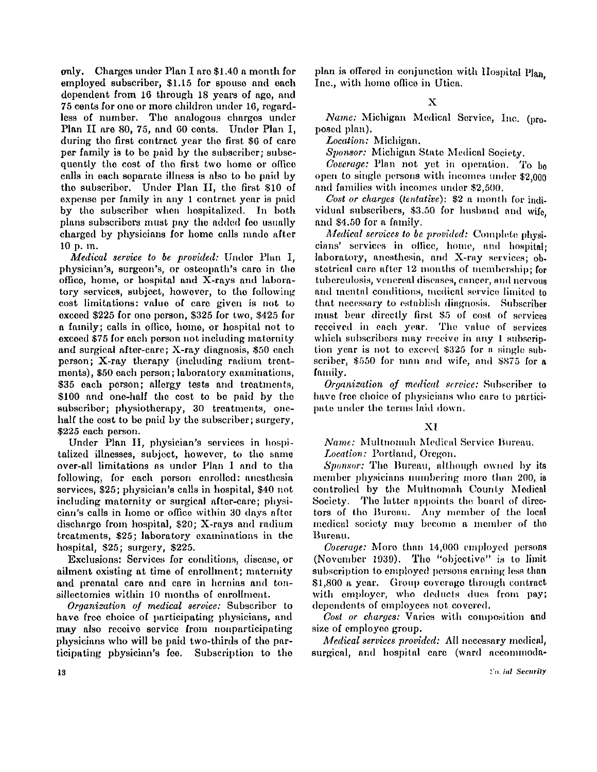only. Charges under Plan I are \$1.40 a month for employed subscriber, \$1.15 for spouse and each dependent from 16 through 18 years of age, and 75 cents for one or more children under 16, regardless of number. The analogous charges under Plan II are 80, 75, and 60 cents. Under Plan I, during the first contract year the first \$6 of care per family is to be paid by the subscriber; subsequently the cost of the first two home or office calls in each separate illness is also to be paid by the subscriber. Under Plan II, the first \$10 of expense per family in any 1 contract year is paid by the subscriber when hospitalized. In both plans subscribers must pay the added fee usually charged by physicians for home calls made after 10 p. m.

*Medical service to be provided:* Under Plan I, physician's, surgeon's, or osteopath's care in the office, home, or hospital and  $X$ -rays and laboratory services, subject, however, to the following cost limitations: value of care given is not to exceed \$225 for one person, \$325 for two, \$425 for a family; calls in office, home, or hospital not to exceed \$75 for each person not including maternity and surgical after-care; X-ray diagnosis, \$50 each person; X-ray therapy (including radium treatments), \$50 each person; laboratory examinations, \$35 each person; allergy tests and treatments, \$100 and one-half the cost to be paid by the subscriber; physiotherapy, 30 treatments, onehalf the cost to be paid by the subscriber; surgery, \$225 each person.

Under Plan II, physician's services in hospitalized illnesses, subject, however, to the same over-all limitations as under Plan I and to the following, for each person enrolled: anesthesia services, \$25; physician's calls in hospital, \$40 not including maternity or surgical after-care; physician's calls in home or office within 30 days after discharge from hospital, \$20; X-rays and radium treatments, \$25; laboratory examinations in the hospital, \$25; surgery, \$225.

Exclusions: Services for conditions, disease, or ailment existing at time of enrollment; maternity and prenatal care and care in hernias and tonsillectomies within 10 months of enrollment.

*Organization of medical service:* Subscriber to have free choice of participating physicians, and may also receive service from nonparticipating physicians who will be paid two-thirds of the participating physician's fee. Subscription to the plan is offered in conjunction with Hospital Plan. Inc., with home office in Utica.

 $\overline{\mathbf{X}}$ 

*Name:* Michigan Medical Service, Inc. (proposed plan).

*Location:* Michigan.

*Sponsor:* Michigan State Medical Society.

*Coverage:* Plan not yet in operation. To be open to single persons with incomes under  $$2,000$ and families with incomes under \$2,500.

*Cost or charges (tentative):* \$2 a month for individual subscribers, \$3.50 for husband and wife. and \$4.50 for a family .

*Medical services to be provided:* Complete physicians' services in office, home, and hospital; laboratory, anesthesia, and X-ray services; obstetrical care after 12 months of membership; for tuberculosis, venereal diseases, cancer, and nervous and mental conditions, medical service limited to that necessary to establish diagnosis. Subscriber must bear directly first \$5 of cost of services received in each year. The value of services which subscribers may receive in any 1 subscription year is not to exceed \$325 for a single subscriber, \$550 for man and wife, and \$875 for a family .

*Organization of medical service:* Subscriber to have free choice of physicians who care to participate under the terms laid down.

# X I

*Name:* Multnomah Medical Service Bureau.

*Location:* Portland, Oregon.

*Sponsor:* The Bureau, although owned by its member physicians numbering more than 200, is controlled by the Multnomah County Medical Society. The latter appoints the board of directors of the Bureau. Any member of the local medical society may become a member of the Bureau.

*Coverage:* More than 14,000 employed persons (November 1939). The "objective" is to limit subscription to employed persons earning less than \$1,800 a year. Group coverage through contract with employer, who deducts dues from pay; dependents of employees not covered.

Cost or charges: Varies with composition and size of employee group.

*Medical services provided:* All necessary medical, surgical, and hospital care (ward accommoda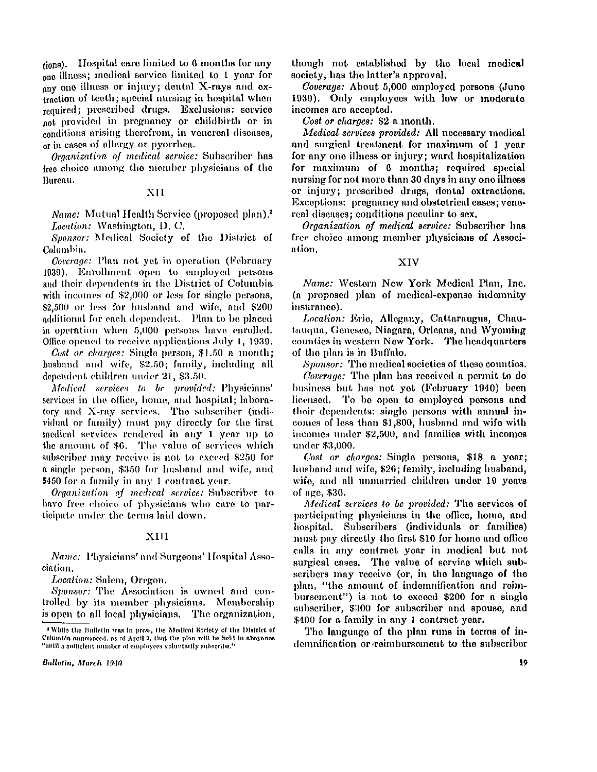tions). Hospital care limited to 6 months for any one illness; medical service limited to 1 year for any one illness or injury; dental X-rays and extraction of teeth; special nursing in hospital when required; prescribed drugs. Exclusions: service not provided in pregnancy or childbirth or in conditions arising therefrom, in venereal diseases, or in cases of allergy or pyorrhea.

*Organization of medical service:* Subscriber has free choice among the member physicians of the Bureau.

## X I I

*Name:* Mutual Health Service (proposed plan).<sup>3</sup> *Location:* Washington, D. C.

*Sponsor:* Medical Society of the District of Columbia.

*Coverage:* Plan not yet in operation (February 1939). Enrollment open to employed persons and their dependents in the District of Columbia with incomes of \$2,000 or less for single persons, \$2,500 or less for husband and wife, and \$200 additional for each dependent. Plan to be placed in operation when 5,000 persons have enrolled. Office opened to receive applications July 1, 1939.

*Cost or charges:* Single person, \$1.50 a month ; husband and wife, \$2.50; family, including all dependent children under 21, \$3.50.

*Medical services to be provided:* Physicians' services in the office, home, and hospital; laboratory and X-ray services. The subscriber (individual or family) must pay directly for the first medical services rendered in any 1 year up to the amount of \$6. The value of services which subscriber may receive is not to exceed \$250 for a single person, \$350 for husband and wife, and \$450 for a family in any 1 contract year.

*Organization of medical service:* Subscriber to have free, choice of physicians who care to participate under the terms laid down.

#### XII I

*Name:* Physicians' and Surgeons' Hospital Association.

*Location:* Salem, Oregon.

*Sponsor:* The Association is owned and controlled by its member physicians. Membership is open to all local physicians. The organization,

Bulletin, March 1940

though not established by the local medical society, has the latter's approval.

*Coverage:* About 5,000 employed persons (June 1939). Only employees with low or moderate incomes are accepted.

*Cost or charges:* \$2 a month.

*Medical scrvices provided:* All necessary medical and surgical treatment for maximum of 1 year for any one illness or injury; ward hospitalization for maximum of 6 months; required special nursing for not more than 30 days in any one illness or injury; prescribed drugs, dental extractions. Exceptions: pregnancy and obstetrical cases; venereal diseases; conditions peculiar to sex.

*Organization of medical service:* Subscriber has free choice among member physicians of Association.

## X I V

*Name:* Western New York Medical Plan, Inc. (a proposed plan of medical-expense indemnity insurance).

*Location:* Erie, Allegany, Cattaraugus, Chautauqua, Genesee, Niagara, Orleans, and Wyoming counties in western New York. The headquarters of the plan is in Buffalo.

*Sponsor:* The medical societies of these counties.

*Coverage:* The plan has received a permit to do business but has not yet (February 1940) been licensed. To be open to employed persons and their dependents: single persons with annual incomes of less than \$1,800, husband and wife with incomes under \$2,500, and families with incomes under \$3,000.

*Cost or charges:* Single persons, \$18 a year; husband and wife, \$26; family, including husband, wife, and all unmarried children under 19 years of age, \$36.

*Medical services to be provided:* The services of participating physicians in the office, home, and hospital. Subscribers (individuals or families) must pay directly the first \$10 for home and office calls in any contract year in medical but not surgical cases. The value of service which subscribers may receive (or, in the language of the plan, "the amount of indemnification and reimbursement") is not to exceed  $$200$  for a single subscriber, \$300 for subscriber and spouse, and \$400 for a family in any 1 contract year.

The language of the plan runs in terms of indemnification or reimbursement to the subscriber

<sup>&</sup>lt;sup>2</sup> While the Bulletin was in press, the Medical Society of the District of Columbia announced, as of April 3, that the plan will be held in abeyance "until a sufficient number of employees voluntarily subscribe."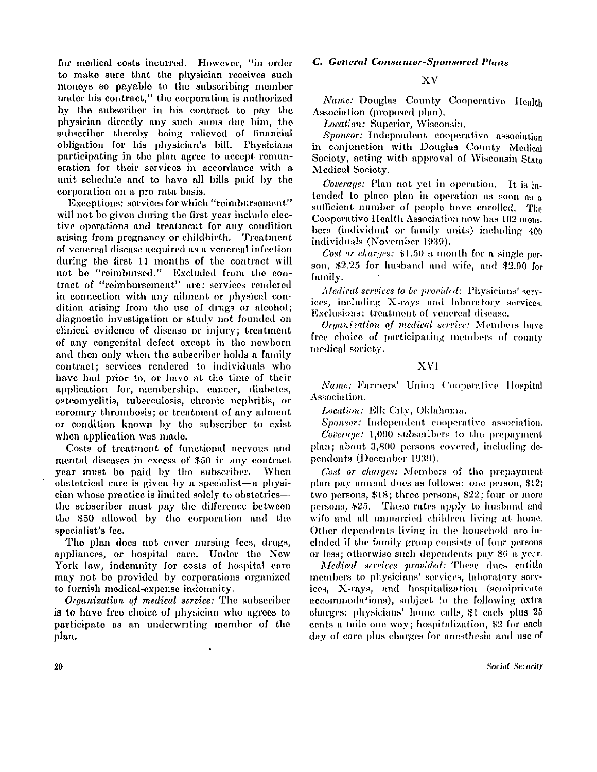for medical costs incurred. However, "in order to make sure that the physician receives such moneys so payable to the subscribing member under his contract," the corporation is authorized by the subscriber in his contract to pay the physician directly any such sums due him, the subscriber thereby being relieved of financial obligation for his physician's bill. Physicians participating in the plan agree to accept remuneration for their services in accordance with a unit schedule and to have all bills paid by the corporation on a pro rata basis.

Exceptions: services for which "reimbursement" will not be given during the first year include elective operations and treatment for any condition arising from pregnancy or childbirth. Treatment of venereal disease acquired as a venereal infection during the first 11 months of the contract will not be "reimbursed." Excluded from the contract of "reimbursement" are: services rendered in connection with any ailment or physical condition arising from the use of drugs or alcohol; diagnostic investigation or study not founded on clinical evidence of disease or injury; treatment of any congenital defect except in the newborn and then only when the subscriber holds a family contract; services rendered to individuals who have had prior to, or have at the time of their application for, membership, cancer, diabetes, osteomyelitis, tuberculosis, chronic nephritis, or coronary thrombosis; or treatment of any ailment or condition known by the subscriber to exist when application was made.

Costs of treatment of functional nervous and mental diseases in excess of \$50 in any contract year must be paid by the subscriber. When obstetrical care is given by a specialist—a physician whose practice is limited solely to obstetrics the subscriber must pay the difference between the \$50 allowed by the corporation and the specialist's fee.

The plan does not cover nursing fees, drugs, appliances, or hospital care. Under the New York law, indemnity for costs of hospital care may not be provided by corporations organized to furnish medical-expense indemnity .

*Organization of medical service:* The subscriber is to have free choice of physician who agrees to participate as an underwriting member of the plan.

# *C. General Consumer-Sponsored Plans*

## X V

*Name:* Douglas County Cooperative Health Association (proposed plan).

*Location:* Superior, Wisconsin.

*Sponsor:* Independent cooperative association in conjunction with Douglas County Medical Society, acting with approval of Wisconsin State Medical Society.

*Coverage:* Plan not yet in operation. It is intended to place plan in operation as soon as a sufficient number of people have enrolled. The Cooperative Health Association now has 162 members (individual or family units) including 400 individuals (November 1939).

*Cost or charges:* \$1.50 a month for a single person, \$2.25 for husband and wife, and \$2.90 for family.

*Medical services to be provided:* Physicians' services, including X-rays and laboratory services. Exclusions: treatment of venereal disease.

*Organization of medical service:* Members have free choice of participating members of county medical society.

## X V I

*Name:* Farmers' Union Cooperative Hospital Association.

*Location:* Elk City, Oklahoma.

*Sponsor:* Independent cooperative association. *Coverage:* 1,000 subscribers to the prepayment plan; about 3,800 persons covered, including dependents (December 1939).

*Cost or charges:* Members of the prepayment plan pay annual dues as follows: one person, \$12; two persons, \$18; three persons, \$22; four or more persons, \$25. These rates apply to husband and wife and all unmarried children living at home. Other dependents living in the household are included if the family group consists of four persons or less; otherwise such dependents pay \$6 a year.

*Medical services provided:* These dues entitle members to physicians' services, laboratory services, X-rays, and hospitalization (semiprivate accommodations), subject to the following extra charges: physicians' home calls, \$1 each plus 25 cents a mile one way; hospitalization, \$2 for each day of care plus charges for anesthesia and use of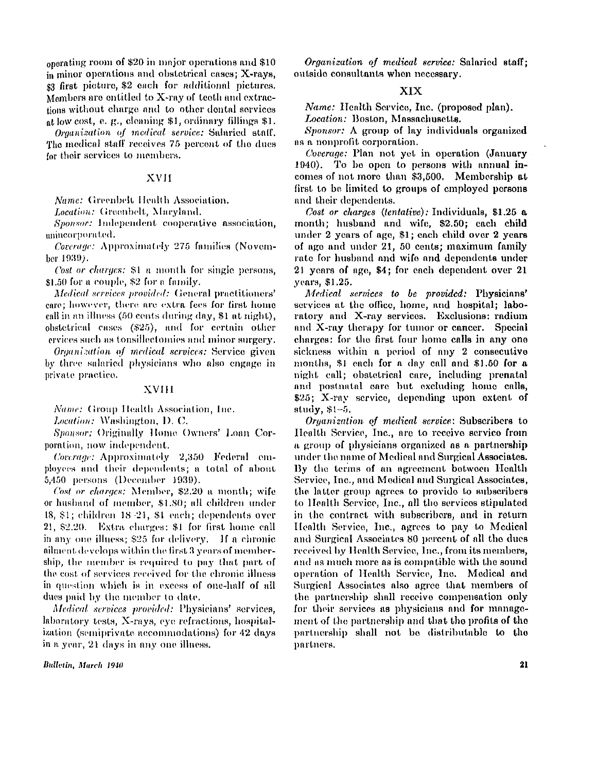operating room of **\$20** in major operations and **\$10**  in minor operations and obstetrical cases; X-rays, **\$3** first picture, **\$2 ea**ch for additional pictures. Members are entitled to  $X$ -ray of teeth and extractions without charge and to other dental services at low cost, e. g., cleaning **\$1,** ordinary fillings **\$1.** 

*Organization of medical service:* Salaried staff. The medical staff receives **75** percent of the dues for their services to members.

## **XVII**

*Name:* Greenbelt Health Association.

*Location:* Greenbelt, Maryland.

*Sponsor: I*ndependent cooperative association, unincorporated.

*Coverage:* Approximately **275** families (November **1939).** 

*Cost or charges:* **\$1** a month for single persons, **\$1.50** for a couple, **\$2** for a family.

*Medical services provided:* General practitioners' care; however, there are extra fees for first home call in an illness **(50** cents during day, **\$1** at night), obstetrical cases **(\$25),** and for certain other services such as tonsillectomies and minor surgery.

*Organization of medical services:* Service given by three salaried physicians who also engage in private practice.

## XVII I

*Name:* Group Health Association, Inc.

*Location:* Washington, D. C.

*Sponsor:* Originally Home Owners' Loan Corporation, now independent.

*Coverage:* Approximately **2,350** Federal employees and their dependents; a total of about **5,450** persons (December **1939).** 

*Cost or charges:* Member, \$2.20 a month; wife or husband of member, **\$1.80;** all children under **18, \$1;** children **18-21, \$1** each; dependents over 21, \$2.20. Extra charges: \$1 for first home call in any one illness; \$25 for delivery. If a chronic ailment develops within the. first **3** years of membership, the member is required to pay that part of the cost of services received for the chronic illness in question which is in excess of one-half of all dues paid by the member to date.

*Medical services provided:* Physicians' services, laboratory tests, X-rays, eye refractions, hospitalization (semiprivate accommodations) for **42** days in a year, **21** days in any one illness.

**Bulletin, March 1940** 

*Organization of medical service:* Salaried staff; outside consultants when necessary.

# XIX

*Name:* Health Service, Inc. (proposed plan).

*Location:* Boston, Massachusetts.

*Sponsor:* A group of lay individuals organized as a nonprofit corporation.

*Coverage:* Plan not yet in operation (January 1940). To be open to persons with annual incomes of not more than \$3,500. Membership at first to be limited to groups of employed persons and their dependents.

*Cost or charges (tentative):* Individuals, \$1.25 a. month; husband and wife, \$2.50; each child under 2 years of age, \$1 ; each child over 2 years of age and under 21 , 50 cents; maximum family rate for husband and wife and dependents under 21 years of age, \$4; for each dependent over 21 years, \$1.25.

*Medical services to be provided:* Physicians' services at the office, home, and hospital; laboratory and X-ray services. Exclusions: radium and X-ray therapy for tumor or cancer. Special charges: for the first four home calls in any one sickness within a period of any 2 consecutive months, \$1 each for a day call and \$1.50 for a night call; obstetrical care, including prenatal and postnatal care but excluding home calls, \$25; X-ray service, depending upon extent of study, \$1-5.

*Organization of medical service:* Subscribers to Health Service, Inc., are to receive service from a group of physicians organized as a partnership under the name of Medical and Surgical Associates. By the terms of an agreement between Health Service, Inc., and Medical and Surgical Associates, the latter group agrees to provide to subscribers to Health Service, Inc., all the services stipulated in the contract with subscribers, and in return Health Service, Inc., agrees to pay to Medical and Surgical Associates 80 percent of all the dues received by Health Service, Inc., from its members, and as much more as is compatible with the sound operation of Health Service, Inc. Medical and Surgical Associates also agree that members of the partnership shall receive compensation only for their services as physicians and for management of the partnership and that the profits of the partnership shall not be distributable to the partners.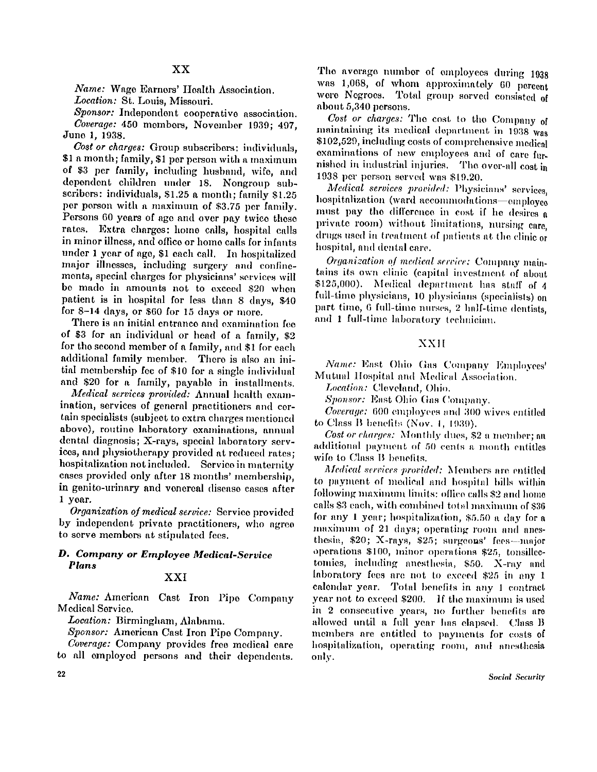*Name:* Wage Earners' Health Association.

Location: St. Louis, Missouri.

*Sponsor:* Independent cooperative association. *Coverage:* 450 members, November 1939; 497, June 1, 1938.

*Cost or charges:* Group subscribers: individuals, \$1 a month; family, \$1 per person with a maximum of \$3 per family, including husband, wife, and dependent children under 18. Nongroup subscribers: individuals, \$1.25 a month; family \$1.25 per person with a maximum of \$3.75 per family. Persons 60 years of age and over pay twice these rates. Extra charges: home calls, hospital calls in minor illness, and office or home calls for infants under 1 year of age, \$1 each call. In hospitalized major illnesses, including surgery and confinements, special charges for physicians' services will be made in amounts not to exceed \$20 when patient is in hospital for less than 8 days, \$40 for 8-14 days, or \$60 for 15 days or more.

There is an initial entrance and examination fee of \$3 for an individual or head of a family, \$2 for the second member of a family, and \$1 for each additional family member. There is also an initial membership fee of \$10 for a single individual and \$20 for a family, payable in installments.

*Medical services provided:* Annual health examination, services of general practitioners and certain specialists (subject to extra charges mentioned above), routine laboratory examinations, annual dental diagnosis; X-rays, special laboratory services, and physiotherapy provided at reduced rates; hospitalization not included. Service in maternity cases provided only after 18 months' membership, in genito-urinary and venereal disease cases after 1 year.

*Organization of medical service:* Service provided by independent private practitioners, who agree to serve members at stipulated fees.

# *D. Company or Employee Medical-Service Plans*

# X X I

*Name:* American Cast Iron Pipe Company Medical Service.

*Location:* Birmingham , Alabama.

Sponsor: American Cast Iron Pipe Company.

*Coverage:* Company provides free medical care to all employed persons and their dependents.

The average number of employees during 1938 was  $1,068$ , of whom approximately  $60$  percent were Negroes. Total group served consisted of about 5,340 persons.

*Cost or charges:* The cost to the Company of maintaining its medical department in 1938 was \$102,529, including costs of comprehensive medical examinations of now employees and of care furnished in industrial injuries. The over-all cost in 1938 per person served was \$19.20.

*Medical services provided:* Physicians' services, hospitalization (ward accommodations—employee must pay the difference in cost if he desires  $\alpha$ private room) without limitations, nursing care, drugs used in treatment of patients at the clinic or hospital, and dental care.

*Organization of medical service:* Company maintains its own clinic (capital investment of about \$125,000). Medical department has staff of 4 full-time physicians, 10 physicians (specialists) on part time, 6 full-time nurses, 2 half-time dentists. and 1 full-time laboratory technician.

## **XXII**

*Name:* East Ohio Gas Company Employees' Mutual Hospital and Medical Association.

*Location:* Cleveland, Ohio.

*Sponsor:* East Ohio Gas Company.

*Coverage: 6*00 employees and 300 wives entitled to Class B benefits (Nov. 1, 1939).

*Cost or charges:* Monthly dues, \$2 a member; an additional payment of 50 cents a month entitles wife to Class B benefits.

*Medical services provided:* Members are entitled to payment of medical and hospital bills within following maximum limits: office calls \$2 and home calls \$3 each, with combined total maximum of \$36 for any 1 year; hospitalization, \$5.50 a day for a maximum of 21 days; operating room and anesthesia, \$20; X-rays, \$25; surgeons' fees-major operations \$100, minor operations \$25, tonsillectomies, including anesthesia, \$50. X-ray and laboratory fees are not to exceed \$25 in any 1 calendar year. Total benefits in any 1 contract year not to exceed \$200. If the maximum is used in 2 consecutive years, no further benefits are allowed until a full year has elapsed. Class B members are entitled to payments for costs of hospitalization, operating room, and anesthesia only.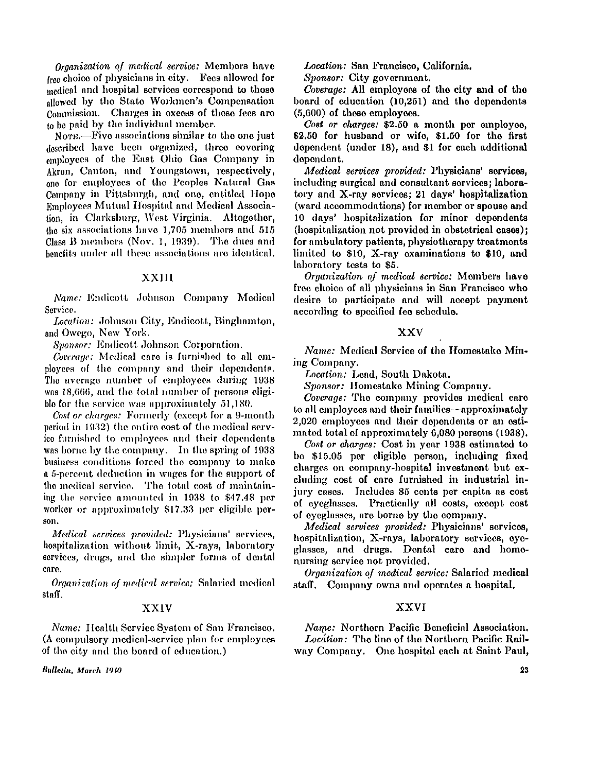*Organization of medical service:* Members have free choice of physicians in city. Fees allowed for medical and hospital services correspond to those allowed by the State Workmen's Compensation Commission. Charges in excess of these fees are to be paid by the individual member.

Note. **The Exercise September 1** North September 1 North September 1 no set the one just described have been organized, three covering employees of the East Ohio Gas Company in Akron, Canton, and Youngstown, respectively, one for employees of the Peoples Natural Gas Company in Pittsburgh, and one, entitled Hope Employees Mutual Hospital and Medical Association, in Clarksburg, West Virginia. Altogether, the six associations have **1,705** members and **515**  Class B members (Nov. **1, 1939).** The dues and benefits under all these associations are identical.

#### XXII I

*Name:* Endicott Johnson Company Medical Service.

Location: Johnson City, Endicott, Binghamton, and Owego, New York.

*Sponsor:* Endicott Johnson Corporation.

*Coverage:* Medical care is furnished to all employees of the company and their dependents. The average number of employees during **1938**  was **18,666,** and the total number of persons eligible for the service was approximately **51,180.** 

*Cost or charges:* Formerly (except for a **9**-month period in **1932)** the entire cost of the medical service furnished to employees and their dependents was borne by the company. In the spring of 1938 business conditions forced the company to make a **5**-percent deduction in wages for the support of the medical service. The total cost of maintaining the service amounted in **1938** to **\$47.48** per worker or approximately **\$17.33** per eligible person.

*Medical services provided:* Physicians' services, hospitalization without limit, X-rays, laboratory services, drugs, and the simpler forms of dental care.

*Organization of medical service:* Salaried medical staff.

#### **XXIV**

*Name:* Health Service System of San Francisco. (A compulsory medical-service plan for employees of the city and the board of education.)

Bulletin, March 1940

*Location:* San Francisco, California.

*Sponsor:* City government.

*Coverage:* All employees of the city and of the board of education (10,251) and the dependents (5,600) of these employees.

*Cost or charges:* \$2.50 a month per employee.  $$2.50$  for husband or wife,  $$1.50$  for the first dependent (under 18), and \$1 for each additional dependent.

*Medical services provided:* Physicians' services, including surgical and consultant services; laboratory and X-ray services;  $21$  days' hospitalization (ward accommodations) for member or spouse and 10 days' hospitalization for minor dependents (hospitalization not provided in obstetrical cases); for ambulatory patients, physiotherapy treatments limited to  $$10$ , X-ray examinations to  $$10$ , and laboratory tests to \$5.

*Organization of medical service:* Members have free choice of all physicians in San Francisco who desire to participate and will accept payment according to specified fee schedule.

## **XXV**

*Name:* Medical Service of the Homestake Min ing Company.

*Location:* Lead, South Dakota.

*Sponsor:* Homestake Mining Company.

*Coverage:* The company provides medical care to all employees and their families—approximately 2,020 employees and their dependents or an estimated total of approximately 6,080 persons (1938).

*Cost or charges:* Cost in year 1938 estimated to be \$15.05 per eligible person, including fixed charges on company-hospital investment but excluding cost of care furnished in industrial injury cases. Includes 85 cents per capita as cost of eyeglasses. Practically all costs, except cost of eyeglasses, are borne by the company.

*Medical services provided:* Physicians' services, hospitalization, X-rays , laboratory services, eyeglasses, and drugs. Dental care and homenursing service not provided.

*Organization of medical service:* Salaried medical staff. Company owns and operates a hospital.

## **XXVI**

*Name:* Northern Pacific Beneficial Association. *Location:* The line of the Northern Pacific Railway Company. One hospital each at Saint Paul,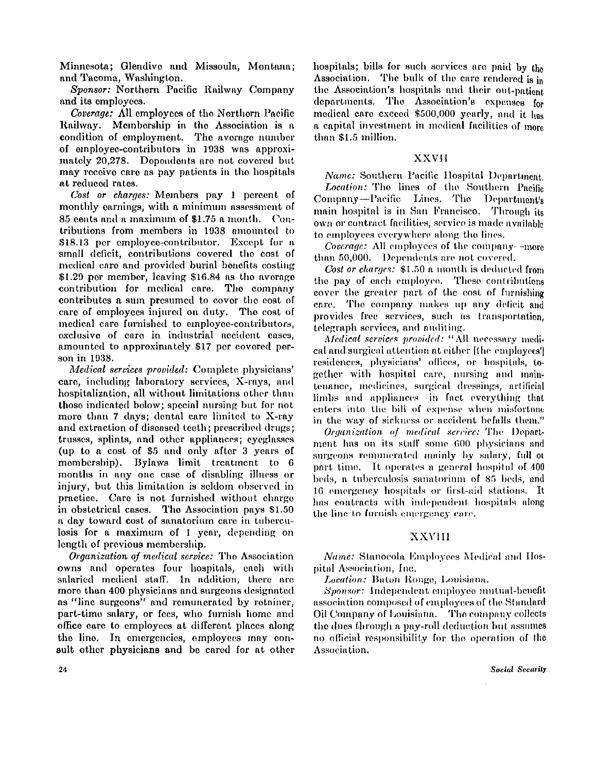Minnesota; Glendive and Missoula, Montana ; and Tacoma, Washington.

*Sponsor:* Northern Pacific Railway Company and its employees.

*Coverage:* All employees of the Northern Pacific Railway. Membership in the Association is a condition of employment. The average number of employee-contributors in 1938 was approximately 20,278. Dependents are not covered but may receive care as pay patients in the hospitals at reduced rates.

*Cost or charges:* Members pay 1 percent of monthly earnings, with a minimum assessment of 85 cents and a maximum of \$1.75 a month. Contributions from members in 1938 amounted to \$18.13 per employee-contributor. Except for a small deficit, contributions covered the cost of medical care and provided burial benefits costing \$1.29 per member, leaving \$16.84 as the average contribution for medical care. The company contributes a sum presumed to cover the cost of care of employees injured on duty. The cost of medical care furnished to employee-contributors, exclusive of care in industrial accident cases. amounted to approximately \$17 per covered person in 1938.

*Medical services provided:* Complete physicians' care, including laboratory services, X-rays, and hospitalization, all without limitations other than those indicated below; special nursing but for not more than  $7 \text{ days}$ ; dental care limited to X-ray and extraction of diseased teeth; prescribed drugs; trusses, splints, and other appliances; eyeglasses (up to a cost of \$5 and only after 3 years of membership). Bylaws limit treatment to 6 months in any one case of disabling illness or injury, but this limitation is seldom observed in practice. Care is not furnished without charge in obstetrical cases. The Association pays \$1.50 a day toward cost of sanatorium care in tuberculosis for a maximum of 1 year, depending on length of previous membership.

*Organization of medical service:* The Association owns and operates four hospitals, each with salaried medical staff. In addition, there are more than 400 physicians and surgeons designated as "line surgeons" and remunerated by retainer, part-time salary, or fees, who furnish home and office care to employees at different places along the line. In emergencies, employees may consult other physicians and be cared for at other hospitals; bills for such services are paid by the Association. The bulk of the care rendered is in the Association's hospitals and their out-patient departments. The Association's expenses for medical care exceed \$500,000 yearly, and it has a capital investment in medical facilities of more than \$1.5 million.

# **XXVII**

*Name:* Southern Pacific Hospital Department. *Location:* The lines of the Southern Pacific Company—Pacific Lines. The Department's main hospital is in San Francisco. Through its own or contract facilities, service is made available to employees everywhere along the lines.

*Coverage:* All employees of the company—more than 50,000. Dependents are not covered.

*Cost or charges:* \$1.50 a month is deducted from the pay of each employee. These contributions cover the greater part of the cost of furnishing care. The company makes up any deficit and provides free services, such as transportation, telegraph services, and auditing.

*Medical services provided:* "All necessary medical and surgical attention at either [the employees'] residences, physicians' offices, or hospitals, together with hospital care, nursing and maintenance, medicines, surgical dressings, artificial limbs and appliances—in fact everything that enters into the bill of expense when misfortune in the way of sickness or accident befalls them."

*Organization of medical service: The* Department has on its staff some 600 physicians and surgeons remunerated mainly by salary, full or part time. It operates a general hospital of 400 beds, a tuberculosis sanatorium of 85 beds, and 16 emergency hospitals or first-aid stations. It has contracts with independent hospitals along the line to furnish emergency care.

# XXVII I

*Name:* Stanocola Employees Medical and Hospital Association, Inc.

*Location:* Baton Rouge, Louisiana.

*Sponsor:* Independent employee mutual-benefit association composed of employees of the Standard 0il Company of Louisiana. The company collects the dues through a pay-roll deduction but assumes no official responsibility for the operation of the Association.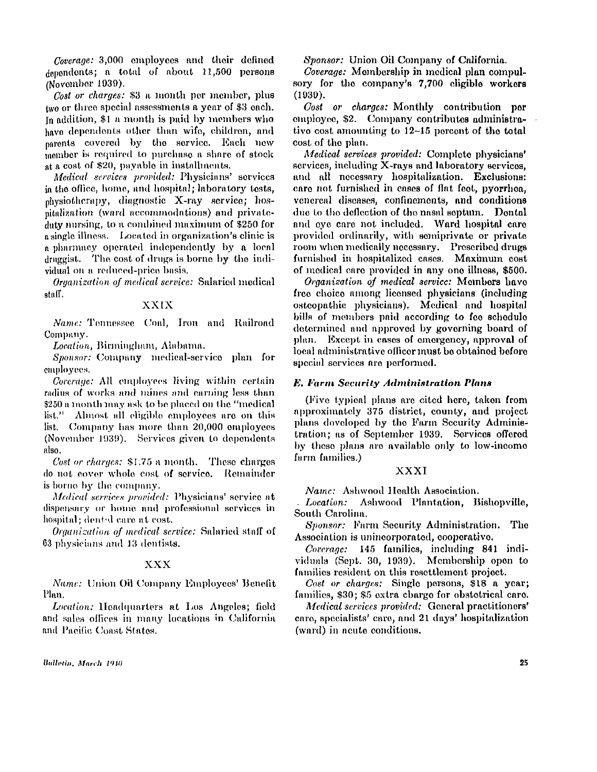*Coverage:* 3,000 employees and their defined dependents; a total of about 11,500 persons (November 1939).

*Cost or charges:* \$3 a month per member, plus two or three special assessments a year of \$3 each. In addition,  $$1$  a month is paid by members who have dependents other than wife, children, and parents covered by the service. Each new member is required to purchase a share of stock at a cost of \$20, payable in installments.

*Medical services provided:* Physicians' services in the office, home, and hospital; laboratory tests,  $physiothera py$ , diagnostic X-ray service; hospitalization (ward accommodations) and private duty nursing, to a combined maximum of \$250 for a single illness. Located in organization's clinic is a pharmacy operated independently by a local druggist. The cost of drugs is borne by the individual on a reduced-price basis.

*Organization of medical service:* Salaried medical staff.

# **XXIX**

*Name:* Tennessee Coal, Iron and Railroad Company.

*Location,* Birmingham, Alabama.

*Sponsor:* Company medical-service plan for employees.

*Coverage:* All employees living within certain radius of works and mines and earning less than \$250 a month may ask to be placed on the "medical  $list."$  Almost all eligible employees are on this list. Company has more than 20,000 employees (November 1939). Services given to dependents also.

*Cost or charges:* \$1.75 a month. These charges do not cover whole cost of service. Remainder is borne by the company.

*Medical services provided:* Physicians' service at dispensary or home and professional services in hospital; dental care at cost.

*Organization of medical service:* Salaried staff of 63 physicians and 13 dentists.

## X X X

*Name:* Union Oil Company Employees' Benefit Plan.

*Location:* Headquarters at Los Angeles; field and sales offices in many locations in California and Pacific Coast States.

*Sponsor:* Union Oil Company of California.

*Coverage:* Mombership in medical plan compulsory for the company's 7,700 eligible workers (1939).

*Cost or charges:* Monthly contribution per employee, \$2. Company contributes administrative cost amounting to 12-15 percent of the total cost of the plan.

*Medical services provided:* Complete physicians' services, including  $X$ -rays and laboratory services, and all necessary hospitalization. Exclusions: care not furnished in cases of flat feet, pyorrhea, venereal diseases, confinements, and conditions due to the deflection of the nasal septum. Dental and eye care not included. Ward hospital care provided ordinarily, with semiprivate or private room when medically necessary. Prescribed drugs furnished in hospitalized cases. Maximum cost of medical care provided in any one illness, \$500.

*Organization of medical service:* Members have free choice among licensed physicians (including osteopathic physicians). Medical and hospital bills of members paid according to fee schedule determined and approved by governing board of plan. Except in cases of emergency, approval of local administrative officer must be obtained before special services are performed.

## *E. Farm Security Administration Plans*

(Five typical plans are cited here, taken from approximately 375 district, county, and project plans doveloped by the Farm Security Administration; as of September 1939. Services offered by these plans are available only to low-income farm families.)

## XXX I

*Name:* Ashwood Health Association.

*Location:* Ashwood Plantation, Bishopville, South Carolina.

*Sponsor:* Farm Security Administration. The Association is unincorporated, cooperative.

*Coverage:* 145 families, including 841 individuals (Sept. 30, 1939). Membership open to families resident on this resettlement project.

*Cost or charges:* Single persons, \$18 a year; families, \$30; \$5 extra charge for obstetrical care.

*Medical services provided:* General practitioners' care, specialists' care, and 21 days' hospitalization (ward) in acute conditions.